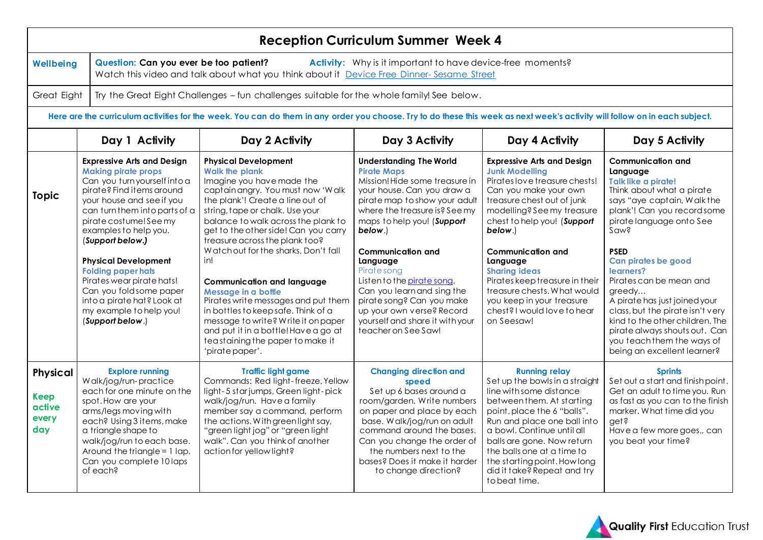| <b>Reception Curriculum Summer Week 4</b>                                                                                                                                                                            |                                                                                                                                                                                                                                                                                                                                                                                                                                                                    |                                                                                                                                                                                                                                                                                                                                                                                                                                                                                                                                                                                                                                               |                                                                                                                                                                                                                                                                                                                                                                                                                                                                        |                                                                                                                                                                                                                                                                                                                                                                                                                                       |                                                                                                                                                                                                                                                                                                                                                                                                                                                                                         |  |
|----------------------------------------------------------------------------------------------------------------------------------------------------------------------------------------------------------------------|--------------------------------------------------------------------------------------------------------------------------------------------------------------------------------------------------------------------------------------------------------------------------------------------------------------------------------------------------------------------------------------------------------------------------------------------------------------------|-----------------------------------------------------------------------------------------------------------------------------------------------------------------------------------------------------------------------------------------------------------------------------------------------------------------------------------------------------------------------------------------------------------------------------------------------------------------------------------------------------------------------------------------------------------------------------------------------------------------------------------------------|------------------------------------------------------------------------------------------------------------------------------------------------------------------------------------------------------------------------------------------------------------------------------------------------------------------------------------------------------------------------------------------------------------------------------------------------------------------------|---------------------------------------------------------------------------------------------------------------------------------------------------------------------------------------------------------------------------------------------------------------------------------------------------------------------------------------------------------------------------------------------------------------------------------------|-----------------------------------------------------------------------------------------------------------------------------------------------------------------------------------------------------------------------------------------------------------------------------------------------------------------------------------------------------------------------------------------------------------------------------------------------------------------------------------------|--|
| Question: Can you ever be too patient?<br><b>Activity:</b> Why is it important to have device-free moments?<br>Wellbeing<br>Watch this video and talk about what you think about it Device Free Dinner-Sesame Street |                                                                                                                                                                                                                                                                                                                                                                                                                                                                    |                                                                                                                                                                                                                                                                                                                                                                                                                                                                                                                                                                                                                                               |                                                                                                                                                                                                                                                                                                                                                                                                                                                                        |                                                                                                                                                                                                                                                                                                                                                                                                                                       |                                                                                                                                                                                                                                                                                                                                                                                                                                                                                         |  |
| Great Eight<br>Try the Great Eight Challenges - fun challenges suitable for the whole family! See below.                                                                                                             |                                                                                                                                                                                                                                                                                                                                                                                                                                                                    |                                                                                                                                                                                                                                                                                                                                                                                                                                                                                                                                                                                                                                               |                                                                                                                                                                                                                                                                                                                                                                                                                                                                        |                                                                                                                                                                                                                                                                                                                                                                                                                                       |                                                                                                                                                                                                                                                                                                                                                                                                                                                                                         |  |
| Here are the curriculum activities for the week. You can do them in any order you choose. Try to do these this week as next week's activity will follow on in each subject.                                          |                                                                                                                                                                                                                                                                                                                                                                                                                                                                    |                                                                                                                                                                                                                                                                                                                                                                                                                                                                                                                                                                                                                                               |                                                                                                                                                                                                                                                                                                                                                                                                                                                                        |                                                                                                                                                                                                                                                                                                                                                                                                                                       |                                                                                                                                                                                                                                                                                                                                                                                                                                                                                         |  |
|                                                                                                                                                                                                                      | Day 1 Activity                                                                                                                                                                                                                                                                                                                                                                                                                                                     | Day 2 Activity                                                                                                                                                                                                                                                                                                                                                                                                                                                                                                                                                                                                                                | Day 3 Activity                                                                                                                                                                                                                                                                                                                                                                                                                                                         | Day 4 Activity                                                                                                                                                                                                                                                                                                                                                                                                                        | Day 5 Activity                                                                                                                                                                                                                                                                                                                                                                                                                                                                          |  |
| <b>Topic</b>                                                                                                                                                                                                         | <b>Expressive Arts and Design</b><br><b>Making pirate props</b><br>Can you turn yourself into a<br>pirate? Find items around<br>your house and see if you<br>can turn them into parts of a<br>pirate costume! See my<br>examples to help you.<br>(Support below.)<br><b>Physical Development</b><br><b>Folding paper hats</b><br>Pirates wear pirate hats!<br>Can you fold some paper<br>into a pirate hat? Look at<br>my example to help you!<br>(Support below.) | <b>Physical Development</b><br><b>Walk the plank</b><br>Imagine you have made the<br>captain angry. You must now 'Walk<br>the plank'! Create a line out of<br>string, tape or chalk. Use your<br>balance to walk across the plank to<br>get to the other side! Can you carry<br>treasure across the plank too?<br>Watch out for the sharks, Don't fall<br>in!<br><b>Communication and language</b><br>Message in a bottle<br>Pirates write messages and put them<br>in bottles to keep safe. Think of a<br>message to write? Write it on paper<br>and put it in a bottle! Have a go at<br>teastaining the paper to make it<br>'pirate paper'. | <b>Understanding The World</b><br><b>Pirate Maps</b><br>Mission! Hide some treasure in<br>your house. Can you draw a<br>pirate map to show your adult<br>where the treasure is? See my<br>maps to help you! (Support<br>below.)<br><b>Communication and</b><br>Language<br>Pirate song<br>Listen to the pirate song.<br>Can you learn and sing the<br>pirate song? Can you make<br>up your own verse? Record<br>yourself and share it with your<br>teacher on See Saw! | <b>Expressive Arts and Design</b><br><b>Junk Modelling</b><br>Pirates love treasure chests!<br>Can you make your own<br>treasure chest out of junk<br>modelling? See my treasure<br>chest to help you! (Support<br>below.)<br><b>Communication and</b><br>Language<br><b>Sharing ideas</b><br>Pirates keep treasure in their<br>treasure chests. What would<br>you keep in your treasure<br>chest? I would love to hear<br>on Seesaw! | <b>Communication and</b><br>Language<br>Talk like a pirate!<br>Think about what a pirate<br>says "aye captain, Walkthe<br>plank'! Can you record some<br>pirate language onto See<br>Sawg<br><b>PSED</b><br>Can pirates be good<br>learners?<br>Pirates can be mean and<br>greedy<br>A pirate has just joined your<br>class, but the pirate isn't very<br>kind to the other children. The<br>pirate always shouts out. Can<br>you teach them the ways of<br>being an excellent learner? |  |
| <b>Physical</b><br><b>Keep</b><br>active<br>every<br>day                                                                                                                                                             | <b>Explore running</b><br>Walk/jog/run-practice<br>each for one minute on the<br>spot. How are your<br>arms/legs moving with<br>each? Using 3 items, make<br>a triangle shape to<br>walk/jog/run to each base.<br>Around the triangle $= 1$ lap.<br>Can you complete 10 laps<br>of each?                                                                                                                                                                           | <b>Traffic light game</b><br>Commands: Red light-freeze, Yellow<br>light-5 starjumps, Green light-pick<br>walk/jog/run. Have a family<br>member say a command, perform<br>the actions. With green light say,<br>"green light jog" or "green light<br>walk". Can you think of another<br>action for yellow light?                                                                                                                                                                                                                                                                                                                              | <b>Changing direction and</b><br>speed<br>Set up 6 bases around a<br>room/garden. Write numbers<br>on paper and place by each<br>base. Walk/ioa/run on adult<br>command around the bases.<br>Can you change the order of<br>the numbers next to the<br>bases? Does it make it harder<br>to change direction?                                                                                                                                                           | <b>Running relay</b><br>Set up the bowls in a straight<br>line with some distance<br>between them. At starting<br>point, place the 6 "balls".<br>Run and place one ball into<br>a bowl. Continue until all<br>balls are gone. Now return<br>the balls one at a time to<br>the starting point. How long<br>did it take? Repeat and try<br>to beat time.                                                                                | <b>Sprints</b><br>Set out a start and finish point.<br>Get an adult to time you. Run<br>as fast as you can to the finish<br>marker. What time did you<br>get?<br>Have a few more goes,, can<br>you beat your time?                                                                                                                                                                                                                                                                      |  |

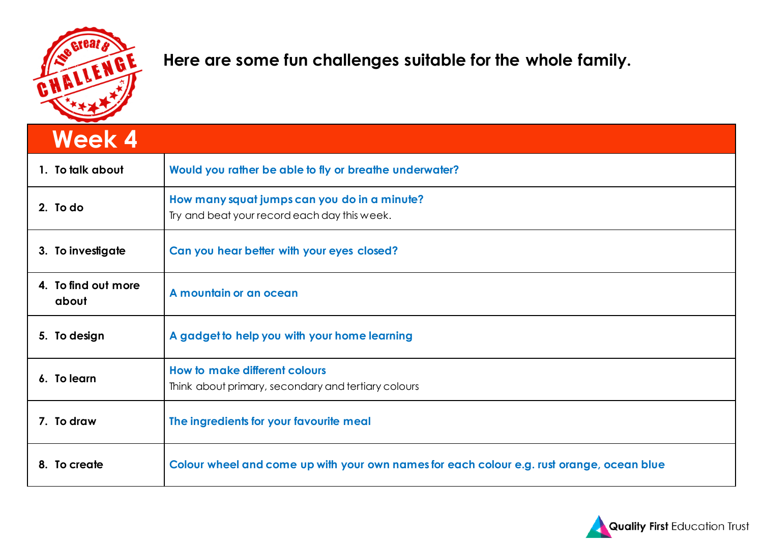

## **Here are some fun challenges suitable for the whole family.**

| <b>Week 4</b>                |                                                                                              |
|------------------------------|----------------------------------------------------------------------------------------------|
| 1. To talk about             | Would you rather be able to fly or breathe underwater?                                       |
| 2. To do                     | How many squat jumps can you do in a minute?<br>Try and beat your record each day this week. |
| 3. To investigate            | Can you hear better with your eyes closed?                                                   |
| 4. To find out more<br>about | A mountain or an ocean                                                                       |
| 5. To design                 | A gadget to help you with your home learning                                                 |
| 6. To learn                  | How to make different colours<br>Think about primary, secondary and tertiary colours         |
| 7. To draw                   | The ingredients for your favourite meal                                                      |
| 8. To create                 | Colour wheel and come up with your own names for each colour e.g. rust orange, ocean blue    |

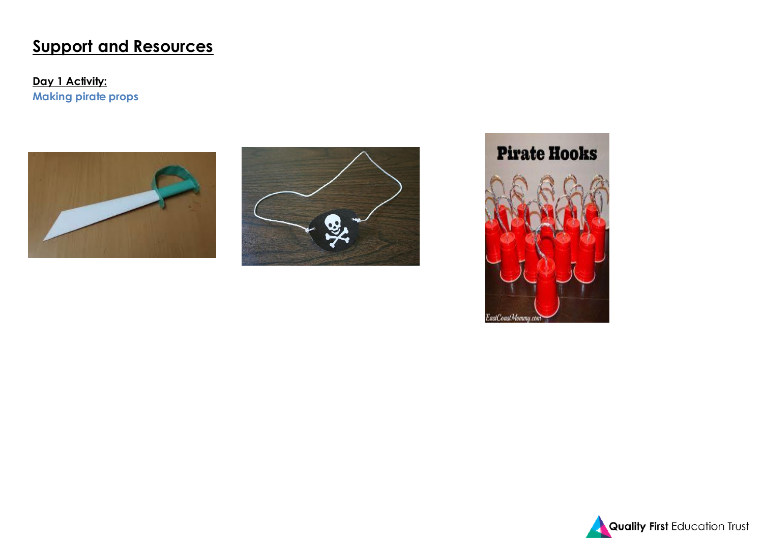# **Support and Resources**

**Day 1 Activity: Making pirate props**







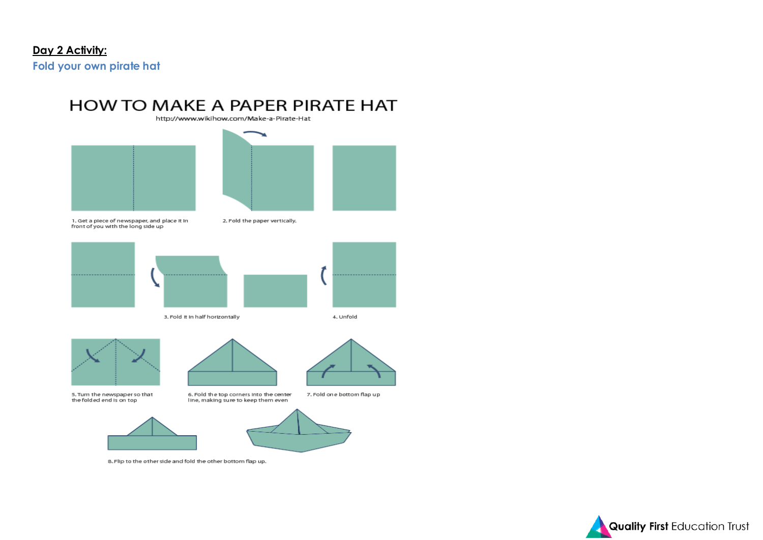## **Day 2 Activity:**

**Fold your own pirate hat**



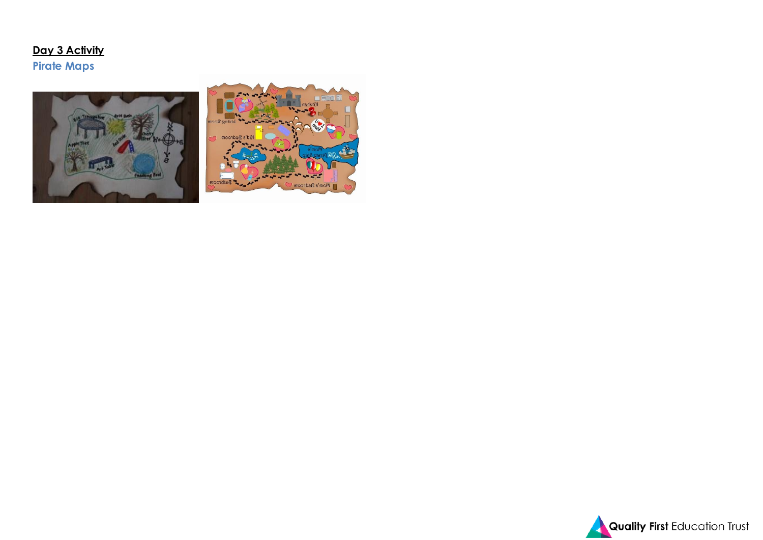### **Day 3 Activity Pirate Maps**